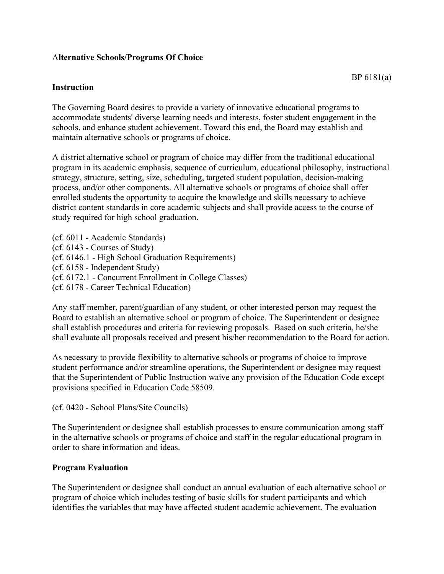## A**lternative Schools/Programs Of Choice**

## **Instruction**

The Governing Board desires to provide a variety of innovative educational programs to accommodate students' diverse learning needs and interests, foster student engagement in the schools, and enhance student achievement. Toward this end, the Board may establish and maintain alternative schools or programs of choice.

A district alternative school or program of choice may differ from the traditional educational program in its academic emphasis, sequence of curriculum, educational philosophy, instructional strategy, structure, setting, size, scheduling, targeted student population, decision-making process, and/or other components. All alternative schools or programs of choice shall offer enrolled students the opportunity to acquire the knowledge and skills necessary to achieve district content standards in core academic subjects and shall provide access to the course of study required for high school graduation.

(cf. 6011 - Academic Standards) (cf. 6143 - Courses of Study) (cf. 6146.1 - High School Graduation Requirements) (cf. 6158 - Independent Study) (cf. 6172.1 - Concurrent Enrollment in College Classes) (cf. 6178 - Career Technical Education)

Any staff member, parent/guardian of any student, or other interested person may request the Board to establish an alternative school or program of choice. The Superintendent or designee shall establish procedures and criteria for reviewing proposals. Based on such criteria, he/she shall evaluate all proposals received and present his/her recommendation to the Board for action.

As necessary to provide flexibility to alternative schools or programs of choice to improve student performance and/or streamline operations, the Superintendent or designee may request that the Superintendent of Public Instruction waive any provision of the Education Code except provisions specified in Education Code 58509.

(cf. 0420 - School Plans/Site Councils)

The Superintendent or designee shall establish processes to ensure communication among staff in the alternative schools or programs of choice and staff in the regular educational program in order to share information and ideas.

## **Program Evaluation**

The Superintendent or designee shall conduct an annual evaluation of each alternative school or program of choice which includes testing of basic skills for student participants and which identifies the variables that may have affected student academic achievement. The evaluation